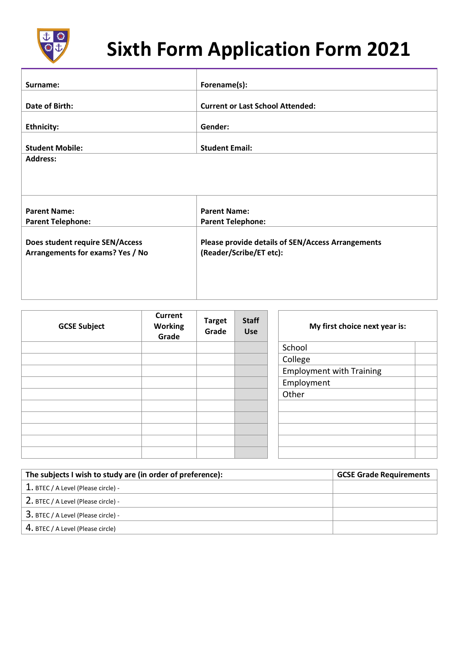

## **Sixth Form Application Form 2021**

| Surname:                                                            | Forename(s):                                                                        |
|---------------------------------------------------------------------|-------------------------------------------------------------------------------------|
| Date of Birth:                                                      | <b>Current or Last School Attended:</b>                                             |
|                                                                     |                                                                                     |
| <b>Ethnicity:</b>                                                   | Gender:                                                                             |
| <b>Student Mobile:</b>                                              | <b>Student Email:</b>                                                               |
| <b>Address:</b>                                                     |                                                                                     |
|                                                                     |                                                                                     |
| <b>Parent Name:</b>                                                 | <b>Parent Name:</b>                                                                 |
| <b>Parent Telephone:</b>                                            | <b>Parent Telephone:</b>                                                            |
| Does student require SEN/Access<br>Arrangements for exams? Yes / No | <b>Please provide details of SEN/Access Arrangements</b><br>(Reader/Scribe/ET etc): |

| <b>GCSE Subject</b> | <b>Current</b><br><b>Working</b><br>Grade | <b>Target</b><br>Grade | <b>Staff</b><br><b>Use</b> | My first choice next year is:   |
|---------------------|-------------------------------------------|------------------------|----------------------------|---------------------------------|
|                     |                                           |                        |                            | School                          |
|                     |                                           |                        |                            | College                         |
|                     |                                           |                        |                            | <b>Employment with Training</b> |
|                     |                                           |                        |                            | Employment                      |
|                     |                                           |                        |                            | Other                           |
|                     |                                           |                        |                            |                                 |
|                     |                                           |                        |                            |                                 |
|                     |                                           |                        |                            |                                 |
|                     |                                           |                        |                            |                                 |
|                     |                                           |                        |                            |                                 |

| The subjects I wish to study are (in order of preference): | <b>GCSE Grade Requirements</b> |
|------------------------------------------------------------|--------------------------------|
| $1.$ BTEC / A Level (Please circle) -                      |                                |
| 2. BTEC / A Level (Please circle) -                        |                                |
| $3.$ BTEC / A Level (Please circle) -                      |                                |
| 4. BTEC / A Level (Please circle)                          |                                |